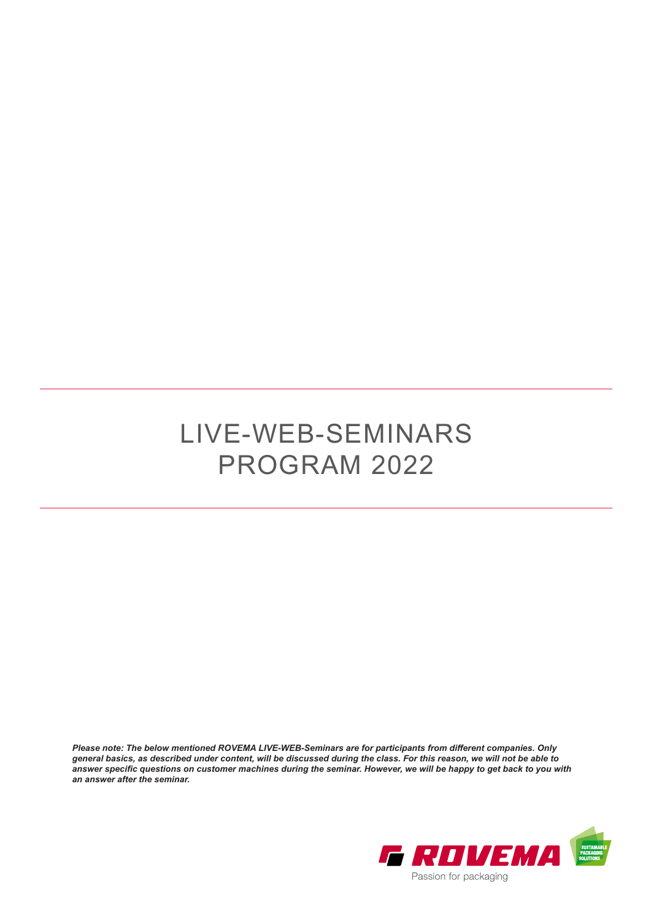## LIVE-WEB-SEMINARS PROGRAM 2022

*Please note: The below mentioned ROVEMA LIVE-WEB-Seminars are for participants from different companies. Only general basics, as described under content, will be discussed during the class. For this reason, we will not be able to answer specific questions on customer machines during the seminar. However, we will be happy to get back to you with an answer after the seminar.*